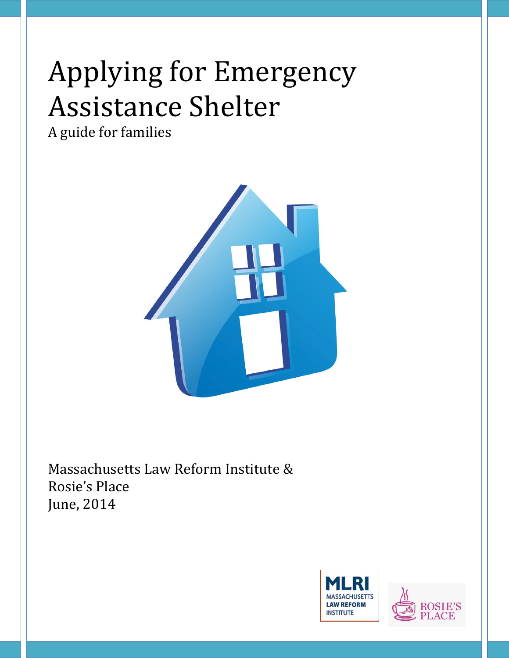# Applying for Emergency Assistance Shelter

A guide for families



Massachusetts Law Reform Institute & Rosie's Place June, 2014



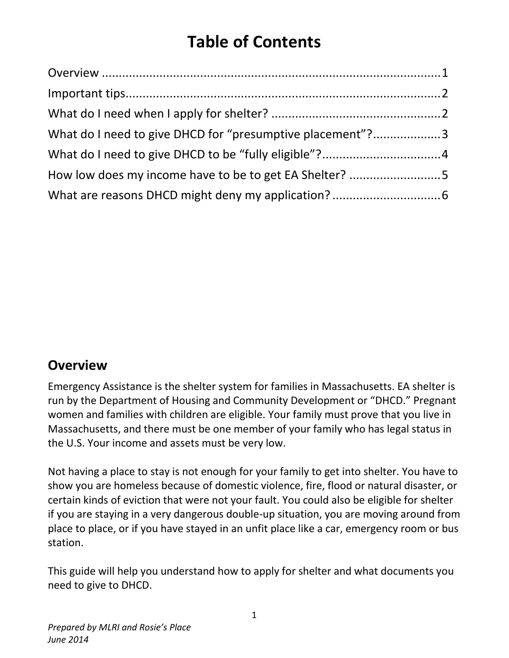# **Table of Contents**

| What do I need to give DHCD for "presumptive placement"?3 |  |
|-----------------------------------------------------------|--|
|                                                           |  |
| How low does my income have to be to get EA Shelter? 5    |  |
|                                                           |  |

#### **Overview**

Emergency Assistance is the shelter system for families in Massachusetts. EA shelter is run by the Department of Housing and Community Development or "DHCD." Pregnant women and families with children are eligible. Your family must prove that you live in Massachusetts, and there must be one member of your family who has legal status in the U.S. Your income and assets must be very low.

Not having a place to stay is not enough for your family to get into shelter. You have to show you are homeless because of domestic violence, fire, flood or natural disaster, or certain kinds of eviction that were not your fault. You could also be eligible for shelter if you are staying in a very dangerous double-up situation, you are moving around from place to place, or if you have stayed in an unfit place like a car, emergency room or bus station.

This guide will help you understand how to apply for shelter and what documents you need to give to DHCD.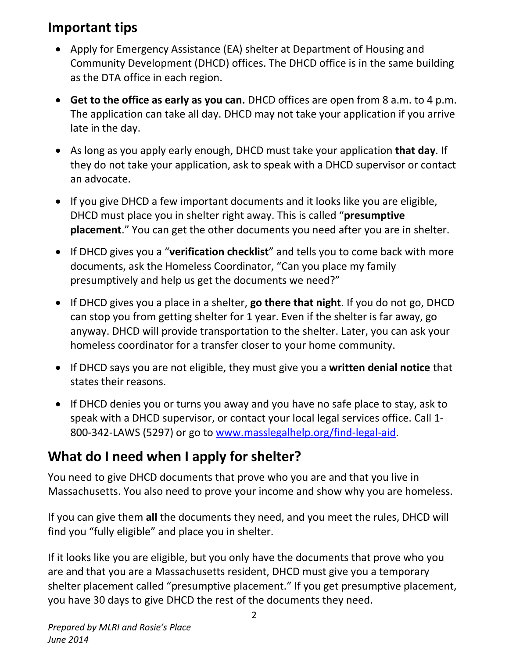### **Important tips**

- Apply for Emergency Assistance (EA) shelter at Department of Housing and Community Development (DHCD) offices. The DHCD office is in the same building as the DTA office in each region.
- **Get to the office as early as you can.** DHCD offices are open from 8 a.m. to 4 p.m. The application can take all day. DHCD may not take your application if you arrive late in the day.
- As long as you apply early enough, DHCD must take your application **that day**. If they do not take your application, ask to speak with a DHCD supervisor or contact an advocate.
- If you give DHCD a few important documents and it looks like you are eligible, DHCD must place you in shelter right away. This is called "**presumptive placement**." You can get the other documents you need after you are in shelter.
- If DHCD gives you a "**verification checklist**" and tells you to come back with more documents, ask the Homeless Coordinator, "Can you place my family presumptively and help us get the documents we need?"
- If DHCD gives you a place in a shelter, **go there that night**. If you do not go, DHCD can stop you from getting shelter for 1 year. Even if the shelter is far away, go anyway. DHCD will provide transportation to the shelter. Later, you can ask your homeless coordinator for a transfer closer to your home community.
- If DHCD says you are not eligible, they must give you a **written denial notice** that states their reasons.
- If DHCD denies you or turns you away and you have no safe place to stay, ask to speak with a DHCD supervisor, or contact your local legal services office. Call 1- 800-342-LAWS (5297) or go to [www.masslegalhelp.org/](http://www.masslegalhelp.org/)find-legal-aid.

## **What do I need when I apply for shelter?**

You need to give DHCD documents that prove who you are and that you live in Massachusetts. You also need to prove your income and show why you are homeless.

If you can give them **all** the documents they need, and you meet the rules, DHCD will find you "fully eligible" and place you in shelter.

If it looks like you are eligible, but you only have the documents that prove who you are and that you are a Massachusetts resident, DHCD must give you a temporary shelter placement called "presumptive placement." If you get presumptive placement, you have 30 days to give DHCD the rest of the documents they need.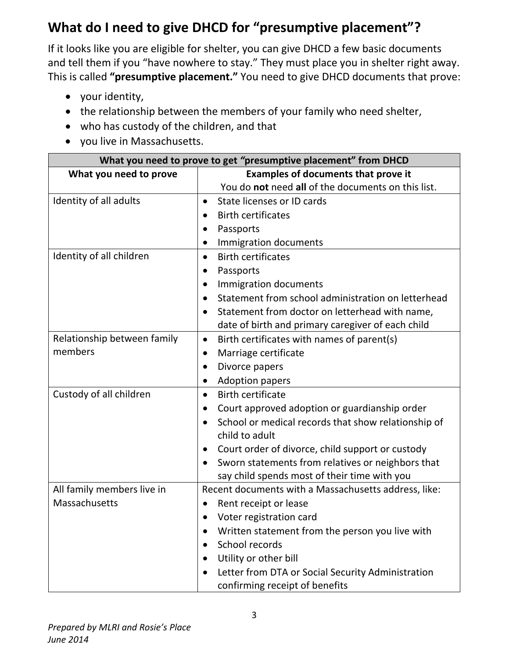# **What do I need to give DHCD for "presumptive placement"?**

If it looks like you are eligible for shelter, you can give DHCD a few basic documents and tell them if you "have nowhere to stay." They must place you in shelter right away. This is called **"presumptive placement."** You need to give DHCD documents that prove:

- your identity,
- the relationship between the members of your family who need shelter,
- who has custody of the children, and that
- you live in Massachusetts.

| What you need to prove to get "presumptive placement" from DHCD |                                                                                    |  |  |  |
|-----------------------------------------------------------------|------------------------------------------------------------------------------------|--|--|--|
| What you need to prove                                          | <b>Examples of documents that prove it</b>                                         |  |  |  |
|                                                                 | You do not need all of the documents on this list.                                 |  |  |  |
| Identity of all adults                                          | State licenses or ID cards<br>$\bullet$                                            |  |  |  |
|                                                                 | <b>Birth certificates</b><br>$\bullet$                                             |  |  |  |
|                                                                 | Passports<br>$\bullet$                                                             |  |  |  |
|                                                                 | Immigration documents<br>$\bullet$                                                 |  |  |  |
| Identity of all children                                        | <b>Birth certificates</b><br>$\bullet$                                             |  |  |  |
|                                                                 | Passports<br>$\bullet$                                                             |  |  |  |
|                                                                 | Immigration documents<br>$\bullet$                                                 |  |  |  |
|                                                                 | Statement from school administration on letterhead<br>$\bullet$                    |  |  |  |
|                                                                 | Statement from doctor on letterhead with name,<br>$\bullet$                        |  |  |  |
|                                                                 | date of birth and primary caregiver of each child                                  |  |  |  |
| Relationship between family                                     | Birth certificates with names of parent(s)<br>$\bullet$                            |  |  |  |
| members                                                         | Marriage certificate<br>$\bullet$                                                  |  |  |  |
|                                                                 | Divorce papers<br>$\bullet$                                                        |  |  |  |
|                                                                 | <b>Adoption papers</b><br>$\bullet$                                                |  |  |  |
| Custody of all children                                         | <b>Birth certificate</b><br>$\bullet$                                              |  |  |  |
|                                                                 | Court approved adoption or guardianship order<br>$\bullet$                         |  |  |  |
|                                                                 | School or medical records that show relationship of<br>$\bullet$<br>child to adult |  |  |  |
|                                                                 | Court order of divorce, child support or custody<br>$\bullet$                      |  |  |  |
|                                                                 | Sworn statements from relatives or neighbors that<br>$\bullet$                     |  |  |  |
|                                                                 | say child spends most of their time with you                                       |  |  |  |
| All family members live in                                      | Recent documents with a Massachusetts address, like:                               |  |  |  |
| Massachusetts                                                   | Rent receipt or lease<br>$\bullet$<br>Voter registration card<br>$\bullet$         |  |  |  |
|                                                                 |                                                                                    |  |  |  |
|                                                                 | Written statement from the person you live with                                    |  |  |  |
|                                                                 | School records                                                                     |  |  |  |
|                                                                 | Utility or other bill                                                              |  |  |  |
|                                                                 | Letter from DTA or Social Security Administration<br>$\bullet$                     |  |  |  |
|                                                                 | confirming receipt of benefits                                                     |  |  |  |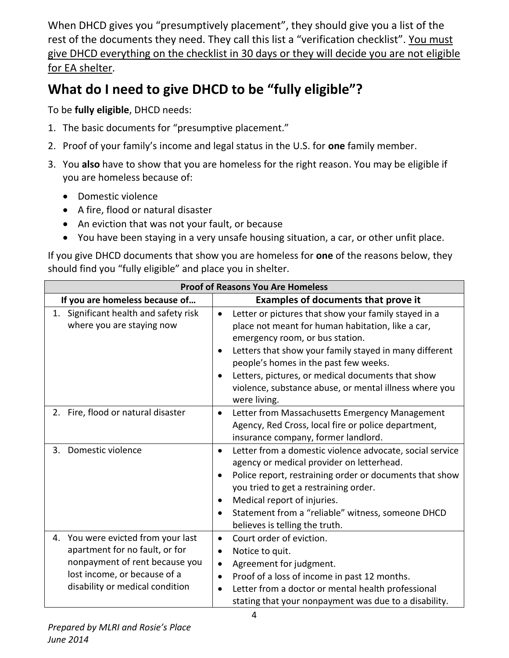When DHCD gives you "presumptively placement", they should give you a list of the rest of the documents they need. They call this list a "verification checklist". You must give DHCD everything on the checklist in 30 days or they will decide you are not eligible for EA shelter.

# **What do I need to give DHCD to be "fully eligible"?**

To be **fully eligible**, DHCD needs:

- 1. The basic documents for "presumptive placement."
- 2. Proof of your family's income and legal status in the U.S. for **one** family member.
- 3. You **also** have to show that you are homeless for the right reason. You may be eligible if you are homeless because of:
	- Domestic violence
	- A fire, flood or natural disaster
	- An eviction that was not your fault, or because
	- You have been staying in a very unsafe housing situation, a car, or other unfit place.

If you give DHCD documents that show you are homeless for **one** of the reasons below, they should find you "fully eligible" and place you in shelter.

| <b>Proof of Reasons You Are Homeless</b>                                                                                                                                     |                                                                                                                                                                                                                                                                                                                                                                                |  |  |  |
|------------------------------------------------------------------------------------------------------------------------------------------------------------------------------|--------------------------------------------------------------------------------------------------------------------------------------------------------------------------------------------------------------------------------------------------------------------------------------------------------------------------------------------------------------------------------|--|--|--|
| If you are homeless because of                                                                                                                                               | <b>Examples of documents that prove it</b>                                                                                                                                                                                                                                                                                                                                     |  |  |  |
| 1. Significant health and safety risk<br>where you are staying now                                                                                                           | Letter or pictures that show your family stayed in a<br>place not meant for human habitation, like a car,<br>emergency room, or bus station.<br>Letters that show your family stayed in many different<br>people's homes in the past few weeks.<br>Letters, pictures, or medical documents that show<br>violence, substance abuse, or mental illness where you<br>were living. |  |  |  |
| 2. Fire, flood or natural disaster                                                                                                                                           | Letter from Massachusetts Emergency Management<br>$\bullet$<br>Agency, Red Cross, local fire or police department,<br>insurance company, former landlord.                                                                                                                                                                                                                      |  |  |  |
| Domestic violence<br>3.                                                                                                                                                      | Letter from a domestic violence advocate, social service<br>$\bullet$<br>agency or medical provider on letterhead.<br>Police report, restraining order or documents that show<br>you tried to get a restraining order.<br>Medical report of injuries.<br>Statement from a "reliable" witness, someone DHCD<br>believes is telling the truth.                                   |  |  |  |
| You were evicted from your last<br>4.<br>apartment for no fault, or for<br>nonpayment of rent because you<br>lost income, or because of a<br>disability or medical condition | Court order of eviction.<br>$\bullet$<br>Notice to quit.<br>Agreement for judgment.<br>$\bullet$<br>Proof of a loss of income in past 12 months.<br>Letter from a doctor or mental health professional<br>$\bullet$<br>stating that your nonpayment was due to a disability.                                                                                                   |  |  |  |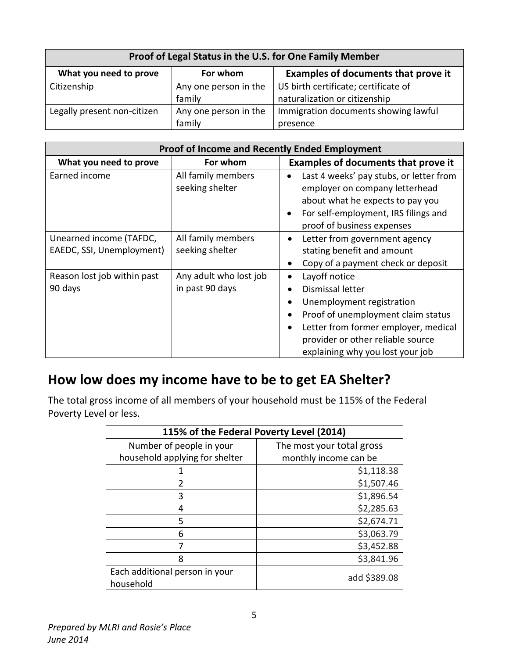| Proof of Legal Status in the U.S. for One Family Member |                       |                                            |  |
|---------------------------------------------------------|-----------------------|--------------------------------------------|--|
| What you need to prove                                  | For whom              | <b>Examples of documents that prove it</b> |  |
| Citizenship                                             | Any one person in the | US birth certificate; certificate of       |  |
|                                                         | family                | naturalization or citizenship              |  |
| Legally present non-citizen                             | Any one person in the | Immigration documents showing lawful       |  |
|                                                         | family                | presence                                   |  |

| <b>Proof of Income and Recently Ended Employment</b> |                                           |                                                                                                                                                                                                                                                      |  |
|------------------------------------------------------|-------------------------------------------|------------------------------------------------------------------------------------------------------------------------------------------------------------------------------------------------------------------------------------------------------|--|
| What you need to prove                               | For whom                                  | <b>Examples of documents that prove it</b>                                                                                                                                                                                                           |  |
| Earned income                                        | All family members<br>seeking shelter     | Last 4 weeks' pay stubs, or letter from<br>$\bullet$<br>employer on company letterhead<br>about what he expects to pay you<br>For self-employment, IRS filings and<br>$\bullet$<br>proof of business expenses                                        |  |
| Unearned income (TAFDC,<br>EAEDC, SSI, Unemployment) | All family members<br>seeking shelter     | Letter from government agency<br>$\bullet$<br>stating benefit and amount<br>Copy of a payment check or deposit<br>$\bullet$                                                                                                                          |  |
| Reason lost job within past<br>90 days               | Any adult who lost job<br>in past 90 days | Layoff notice<br>٠<br>Dismissal letter<br>Unemployment registration<br>Proof of unemployment claim status<br>$\bullet$<br>Letter from former employer, medical<br>$\bullet$<br>provider or other reliable source<br>explaining why you lost your job |  |

### **How low does my income have to be to get EA Shelter?**

The total gross income of all members of your household must be 115% of the Federal Poverty Level or less.

| 115% of the Federal Poverty Level (2014)    |                           |  |
|---------------------------------------------|---------------------------|--|
| Number of people in your                    | The most your total gross |  |
| household applying for shelter              | monthly income can be     |  |
|                                             | \$1,118.38                |  |
| $\mathcal{P}$                               | \$1,507.46                |  |
| 3                                           | \$1,896.54                |  |
| 4                                           | \$2,285.63                |  |
| 5                                           | \$2,674.71                |  |
| 6                                           | \$3,063.79                |  |
|                                             | \$3,452.88                |  |
| 8                                           | \$3,841.96                |  |
| Each additional person in your<br>household | add \$389.08              |  |